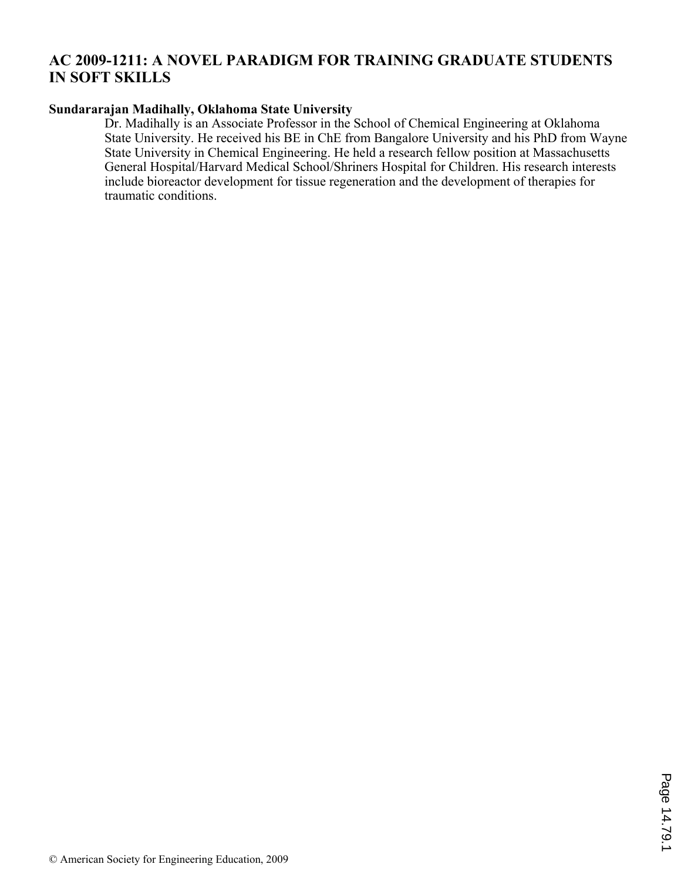## **AC 2009-1211: A NOVEL PARADIGM FOR TRAINING GRADUATE STUDENTS IN SOFT SKILLS**

#### **Sundararajan Madihally, Oklahoma State University**

Dr. Madihally is an Associate Professor in the School of Chemical Engineering at Oklahoma State University. He received his BE in ChE from Bangalore University and his PhD from Wayne State University in Chemical Engineering. He held a research fellow position at Massachusetts General Hospital/Harvard Medical School/Shriners Hospital for Children. His research interests include bioreactor development for tissue regeneration and the development of therapies for traumatic conditions.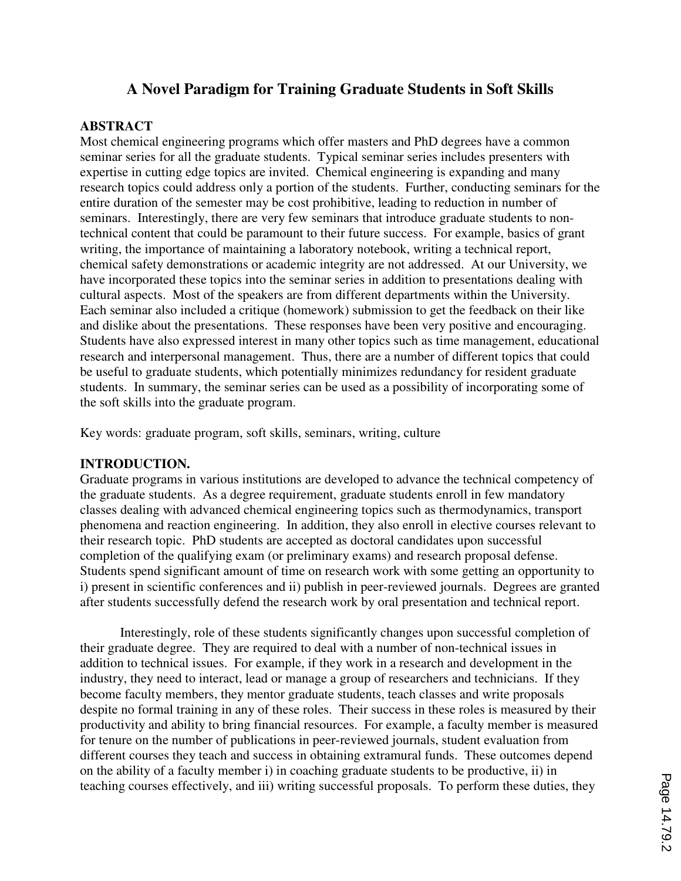# **A Novel Paradigm for Training Graduate Students in Soft Skills**

## **ABSTRACT**

Most chemical engineering programs which offer masters and PhD degrees have a common seminar series for all the graduate students. Typical seminar series includes presenters with expertise in cutting edge topics are invited. Chemical engineering is expanding and many research topics could address only a portion of the students. Further, conducting seminars for the entire duration of the semester may be cost prohibitive, leading to reduction in number of seminars. Interestingly, there are very few seminars that introduce graduate students to nontechnical content that could be paramount to their future success. For example, basics of grant writing, the importance of maintaining a laboratory notebook, writing a technical report, chemical safety demonstrations or academic integrity are not addressed. At our University, we have incorporated these topics into the seminar series in addition to presentations dealing with cultural aspects. Most of the speakers are from different departments within the University. Each seminar also included a critique (homework) submission to get the feedback on their like and dislike about the presentations. These responses have been very positive and encouraging. Students have also expressed interest in many other topics such as time management, educational research and interpersonal management. Thus, there are a number of different topics that could be useful to graduate students, which potentially minimizes redundancy for resident graduate students. In summary, the seminar series can be used as a possibility of incorporating some of the soft skills into the graduate program.

Key words: graduate program, soft skills, seminars, writing, culture

## **INTRODUCTION.**

Graduate programs in various institutions are developed to advance the technical competency of the graduate students. As a degree requirement, graduate students enroll in few mandatory classes dealing with advanced chemical engineering topics such as thermodynamics, transport phenomena and reaction engineering. In addition, they also enroll in elective courses relevant to their research topic. PhD students are accepted as doctoral candidates upon successful completion of the qualifying exam (or preliminary exams) and research proposal defense. Students spend significant amount of time on research work with some getting an opportunity to i) present in scientific conferences and ii) publish in peer-reviewed journals. Degrees are granted after students successfully defend the research work by oral presentation and technical report.

Interestingly, role of these students significantly changes upon successful completion of their graduate degree. They are required to deal with a number of non-technical issues in addition to technical issues. For example, if they work in a research and development in the industry, they need to interact, lead or manage a group of researchers and technicians. If they become faculty members, they mentor graduate students, teach classes and write proposals despite no formal training in any of these roles. Their success in these roles is measured by their productivity and ability to bring financial resources. For example, a faculty member is measured for tenure on the number of publications in peer-reviewed journals, student evaluation from different courses they teach and success in obtaining extramural funds. These outcomes depend on the ability of a faculty member i) in coaching graduate students to be productive, ii) in teaching courses effectively, and iii) writing successful proposals. To perform these duties, they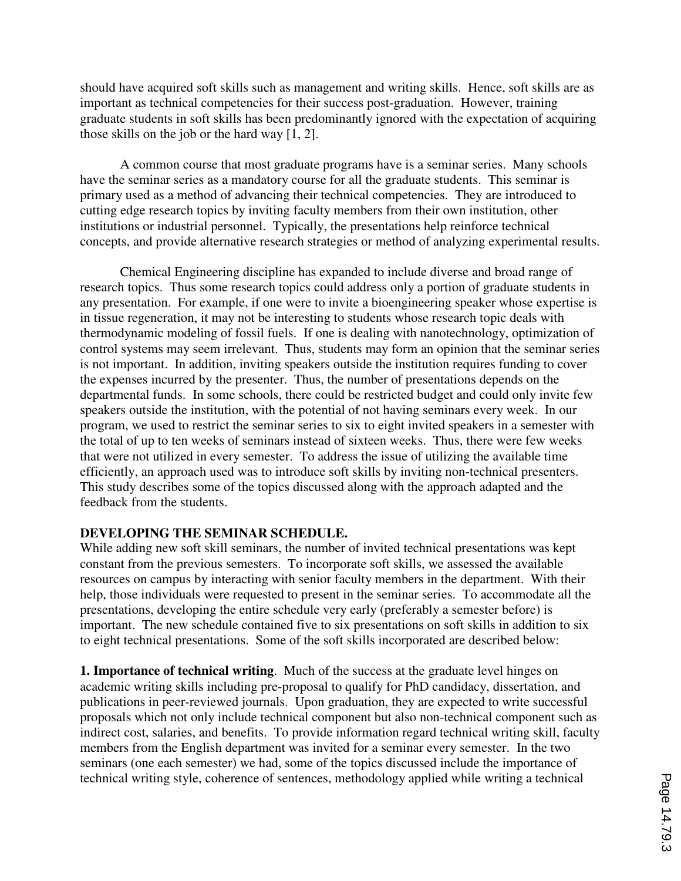should have acquired soft skills such as management and writing skills. Hence, soft skills are as important as technical competencies for their success post-graduation. However, training graduate students in soft skills has been predominantly ignored with the expectation of acquiring those skills on the job or the hard way [1, 2].

A common course that most graduate programs have is a seminar series. Many schools have the seminar series as a mandatory course for all the graduate students. This seminar is primary used as a method of advancing their technical competencies. They are introduced to cutting edge research topics by inviting faculty members from their own institution, other institutions or industrial personnel. Typically, the presentations help reinforce technical concepts, and provide alternative research strategies or method of analyzing experimental results.

Chemical Engineering discipline has expanded to include diverse and broad range of research topics. Thus some research topics could address only a portion of graduate students in any presentation. For example, if one were to invite a bioengineering speaker whose expertise is in tissue regeneration, it may not be interesting to students whose research topic deals with thermodynamic modeling of fossil fuels. If one is dealing with nanotechnology, optimization of control systems may seem irrelevant. Thus, students may form an opinion that the seminar series is not important. In addition, inviting speakers outside the institution requires funding to cover the expenses incurred by the presenter. Thus, the number of presentations depends on the departmental funds. In some schools, there could be restricted budget and could only invite few speakers outside the institution, with the potential of not having seminars every week. In our program, we used to restrict the seminar series to six to eight invited speakers in a semester with the total of up to ten weeks of seminars instead of sixteen weeks. Thus, there were few weeks that were not utilized in every semester. To address the issue of utilizing the available time efficiently, an approach used was to introduce soft skills by inviting non-technical presenters. This study describes some of the topics discussed along with the approach adapted and the feedback from the students.

## **DEVELOPING THE SEMINAR SCHEDULE.**

While adding new soft skill seminars, the number of invited technical presentations was kept constant from the previous semesters. To incorporate soft skills, we assessed the available resources on campus by interacting with senior faculty members in the department. With their help, those individuals were requested to present in the seminar series. To accommodate all the presentations, developing the entire schedule very early (preferably a semester before) is important. The new schedule contained five to six presentations on soft skills in addition to six to eight technical presentations. Some of the soft skills incorporated are described below:

**1. Importance of technical writing**. Much of the success at the graduate level hinges on academic writing skills including pre-proposal to qualify for PhD candidacy, dissertation, and publications in peer-reviewed journals. Upon graduation, they are expected to write successful proposals which not only include technical component but also non-technical component such as indirect cost, salaries, and benefits. To provide information regard technical writing skill, faculty members from the English department was invited for a seminar every semester. In the two seminars (one each semester) we had, some of the topics discussed include the importance of technical writing style, coherence of sentences, methodology applied while writing a technical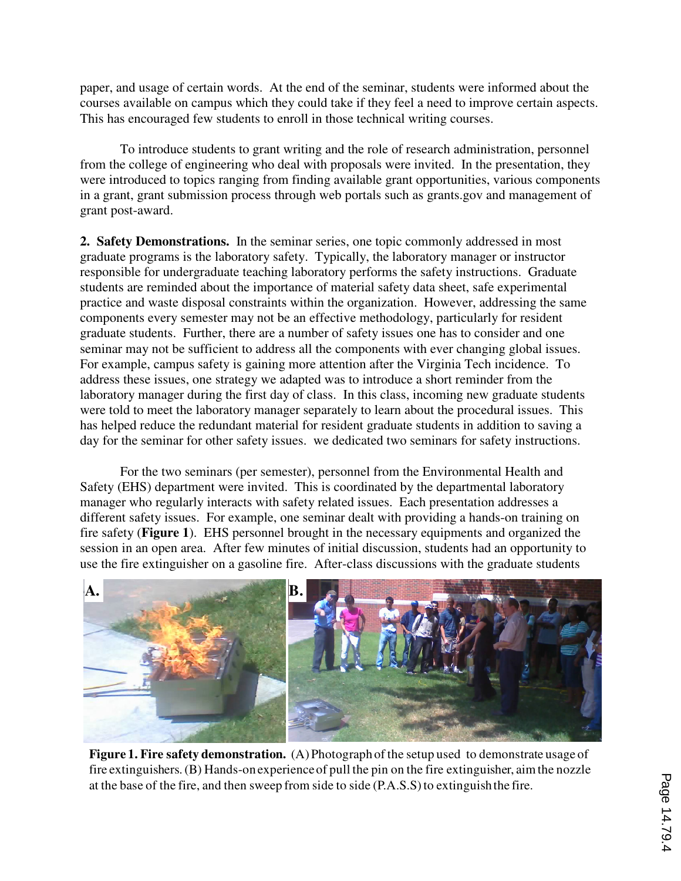paper, and usage of certain words. At the end of the seminar, students were informed about the courses available on campus which they could take if they feel a need to improve certain aspects. This has encouraged few students to enroll in those technical writing courses.

To introduce students to grant writing and the role of research administration, personnel from the college of engineering who deal with proposals were invited. In the presentation, they were introduced to topics ranging from finding available grant opportunities, various components in a grant, grant submission process through web portals such as grants.gov and management of grant post-award.

**2. Safety Demonstrations.** In the seminar series, one topic commonly addressed in most graduate programs is the laboratory safety. Typically, the laboratory manager or instructor responsible for undergraduate teaching laboratory performs the safety instructions. Graduate students are reminded about the importance of material safety data sheet, safe experimental practice and waste disposal constraints within the organization. However, addressing the same components every semester may not be an effective methodology, particularly for resident graduate students. Further, there are a number of safety issues one has to consider and one seminar may not be sufficient to address all the components with ever changing global issues. For example, campus safety is gaining more attention after the Virginia Tech incidence. To address these issues, one strategy we adapted was to introduce a short reminder from the laboratory manager during the first day of class. In this class, incoming new graduate students were told to meet the laboratory manager separately to learn about the procedural issues. This has helped reduce the redundant material for resident graduate students in addition to saving a day for the seminar for other safety issues. we dedicated two seminars for safety instructions.

For the two seminars (per semester), personnel from the Environmental Health and Safety (EHS) department were invited. This is coordinated by the departmental laboratory manager who regularly interacts with safety related issues. Each presentation addresses a different safety issues. For example, one seminar dealt with providing a hands-on training on fire safety (**Figure 1**). EHS personnel brought in the necessary equipments and organized the session in an open area. After few minutes of initial discussion, students had an opportunity to use the fire extinguisher on a gasoline fire. After-class discussions with the graduate students



**Figure 1. Fire safety demonstration.** (A) Photograph of the setup used to demonstrate usage of fire extinguishers. (B) Hands-on experience of pull the pin on the fire extinguisher, aim the nozzle at the base of the fire, and then sweep from side to side (P.A.S.S) to extinguish the fire.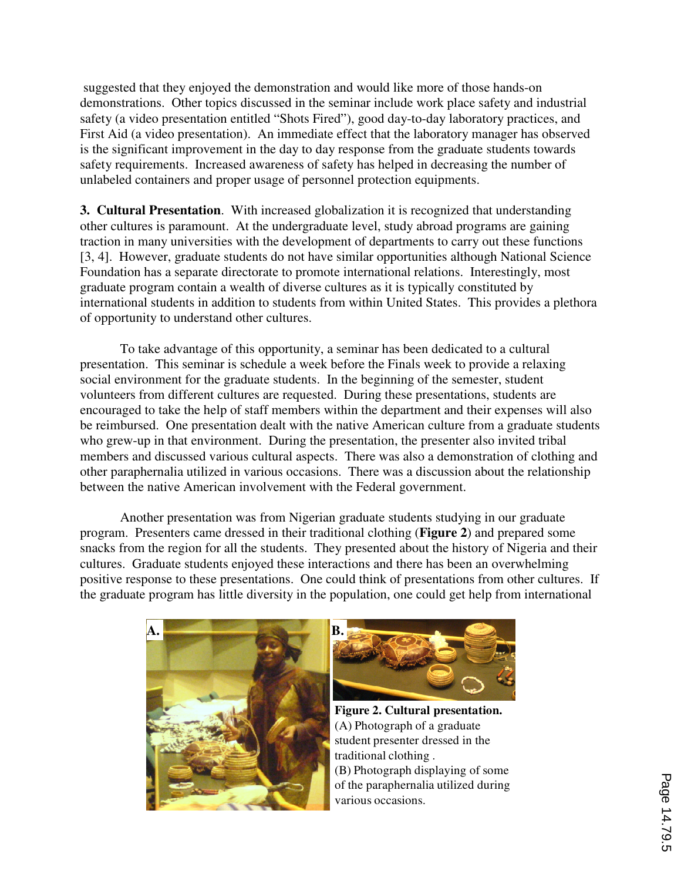suggested that they enjoyed the demonstration and would like more of those hands-on demonstrations. Other topics discussed in the seminar include work place safety and industrial safety (a video presentation entitled "Shots Fired"), good day-to-day laboratory practices, and First Aid (a video presentation). An immediate effect that the laboratory manager has observed is the significant improvement in the day to day response from the graduate students towards safety requirements. Increased awareness of safety has helped in decreasing the number of unlabeled containers and proper usage of personnel protection equipments.

**3. Cultural Presentation**. With increased globalization it is recognized that understanding other cultures is paramount. At the undergraduate level, study abroad programs are gaining traction in many universities with the development of departments to carry out these functions [3, 4]. However, graduate students do not have similar opportunities although National Science Foundation has a separate directorate to promote international relations. Interestingly, most graduate program contain a wealth of diverse cultures as it is typically constituted by international students in addition to students from within United States. This provides a plethora of opportunity to understand other cultures.

To take advantage of this opportunity, a seminar has been dedicated to a cultural presentation. This seminar is schedule a week before the Finals week to provide a relaxing social environment for the graduate students. In the beginning of the semester, student volunteers from different cultures are requested. During these presentations, students are encouraged to take the help of staff members within the department and their expenses will also be reimbursed. One presentation dealt with the native American culture from a graduate students who grew-up in that environment. During the presentation, the presenter also invited tribal members and discussed various cultural aspects. There was also a demonstration of clothing and other paraphernalia utilized in various occasions. There was a discussion about the relationship between the native American involvement with the Federal government.

Another presentation was from Nigerian graduate students studying in our graduate program. Presenters came dressed in their traditional clothing (**Figure 2**) and prepared some snacks from the region for all the students. They presented about the history of Nigeria and their cultures. Graduate students enjoyed these interactions and there has been an overwhelming positive response to these presentations. One could think of presentations from other cultures. If the graduate program has little diversity in the population, one could get help from international





**Figure 2. Cultural presentation.**  (A) Photograph of a graduate student presenter dressed in the traditional clothing . (B) Photograph displaying of some of the paraphernalia utilized during various occasions.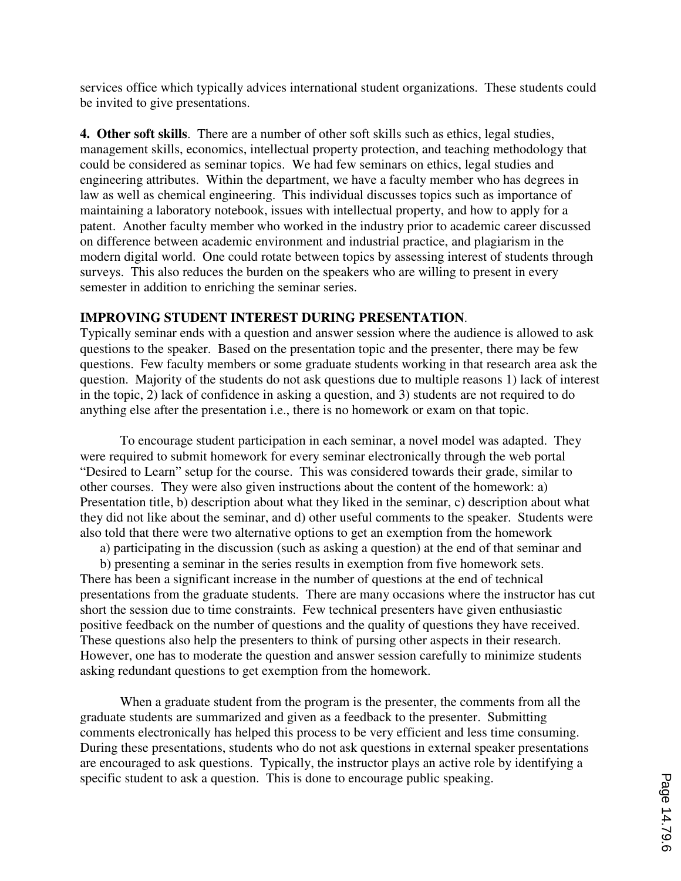services office which typically advices international student organizations. These students could be invited to give presentations.

**4. Other soft skills**. There are a number of other soft skills such as ethics, legal studies, management skills, economics, intellectual property protection, and teaching methodology that could be considered as seminar topics. We had few seminars on ethics, legal studies and engineering attributes. Within the department, we have a faculty member who has degrees in law as well as chemical engineering. This individual discusses topics such as importance of maintaining a laboratory notebook, issues with intellectual property, and how to apply for a patent. Another faculty member who worked in the industry prior to academic career discussed on difference between academic environment and industrial practice, and plagiarism in the modern digital world. One could rotate between topics by assessing interest of students through surveys. This also reduces the burden on the speakers who are willing to present in every semester in addition to enriching the seminar series.

### **IMPROVING STUDENT INTEREST DURING PRESENTATION**.

Typically seminar ends with a question and answer session where the audience is allowed to ask questions to the speaker. Based on the presentation topic and the presenter, there may be few questions. Few faculty members or some graduate students working in that research area ask the question. Majority of the students do not ask questions due to multiple reasons 1) lack of interest in the topic, 2) lack of confidence in asking a question, and 3) students are not required to do anything else after the presentation i.e., there is no homework or exam on that topic.

To encourage student participation in each seminar, a novel model was adapted. They were required to submit homework for every seminar electronically through the web portal "Desired to Learn" setup for the course. This was considered towards their grade, similar to other courses. They were also given instructions about the content of the homework: a) Presentation title, b) description about what they liked in the seminar, c) description about what they did not like about the seminar, and d) other useful comments to the speaker. Students were also told that there were two alternative options to get an exemption from the homework

a) participating in the discussion (such as asking a question) at the end of that seminar and

b) presenting a seminar in the series results in exemption from five homework sets. There has been a significant increase in the number of questions at the end of technical presentations from the graduate students. There are many occasions where the instructor has cut short the session due to time constraints. Few technical presenters have given enthusiastic positive feedback on the number of questions and the quality of questions they have received. These questions also help the presenters to think of pursing other aspects in their research. However, one has to moderate the question and answer session carefully to minimize students asking redundant questions to get exemption from the homework.

When a graduate student from the program is the presenter, the comments from all the graduate students are summarized and given as a feedback to the presenter. Submitting comments electronically has helped this process to be very efficient and less time consuming. During these presentations, students who do not ask questions in external speaker presentations are encouraged to ask questions. Typically, the instructor plays an active role by identifying a specific student to ask a question. This is done to encourage public speaking.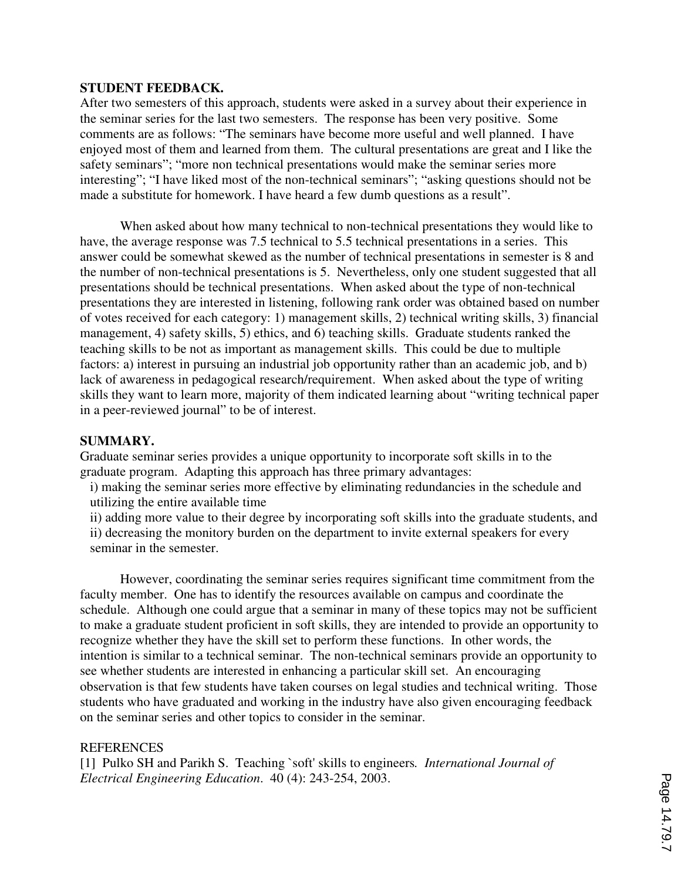#### **STUDENT FEEDBACK.**

After two semesters of this approach, students were asked in a survey about their experience in the seminar series for the last two semesters. The response has been very positive. Some comments are as follows: "The seminars have become more useful and well planned. I have enjoyed most of them and learned from them. The cultural presentations are great and I like the safety seminars"; "more non technical presentations would make the seminar series more interesting"; "I have liked most of the non-technical seminars"; "asking questions should not be made a substitute for homework. I have heard a few dumb questions as a result".

When asked about how many technical to non-technical presentations they would like to have, the average response was 7.5 technical to 5.5 technical presentations in a series. This answer could be somewhat skewed as the number of technical presentations in semester is 8 and the number of non-technical presentations is 5. Nevertheless, only one student suggested that all presentations should be technical presentations. When asked about the type of non-technical presentations they are interested in listening, following rank order was obtained based on number of votes received for each category: 1) management skills, 2) technical writing skills, 3) financial management, 4) safety skills, 5) ethics, and 6) teaching skills. Graduate students ranked the teaching skills to be not as important as management skills. This could be due to multiple factors: a) interest in pursuing an industrial job opportunity rather than an academic job, and b) lack of awareness in pedagogical research/requirement. When asked about the type of writing skills they want to learn more, majority of them indicated learning about "writing technical paper in a peer-reviewed journal" to be of interest.

#### **SUMMARY.**

Graduate seminar series provides a unique opportunity to incorporate soft skills in to the graduate program. Adapting this approach has three primary advantages:

i) making the seminar series more effective by eliminating redundancies in the schedule and utilizing the entire available time

ii) adding more value to their degree by incorporating soft skills into the graduate students, and ii) decreasing the monitory burden on the department to invite external speakers for every seminar in the semester.

However, coordinating the seminar series requires significant time commitment from the faculty member. One has to identify the resources available on campus and coordinate the schedule. Although one could argue that a seminar in many of these topics may not be sufficient to make a graduate student proficient in soft skills, they are intended to provide an opportunity to recognize whether they have the skill set to perform these functions. In other words, the intention is similar to a technical seminar. The non-technical seminars provide an opportunity to see whether students are interested in enhancing a particular skill set. An encouraging observation is that few students have taken courses on legal studies and technical writing. Those students who have graduated and working in the industry have also given encouraging feedback on the seminar series and other topics to consider in the seminar.

#### **REFERENCES**

[1] Pulko SH and Parikh S. Teaching `soft' skills to engineers*. International Journal of Electrical Engineering Education*. 40 (4): 243-254, 2003.